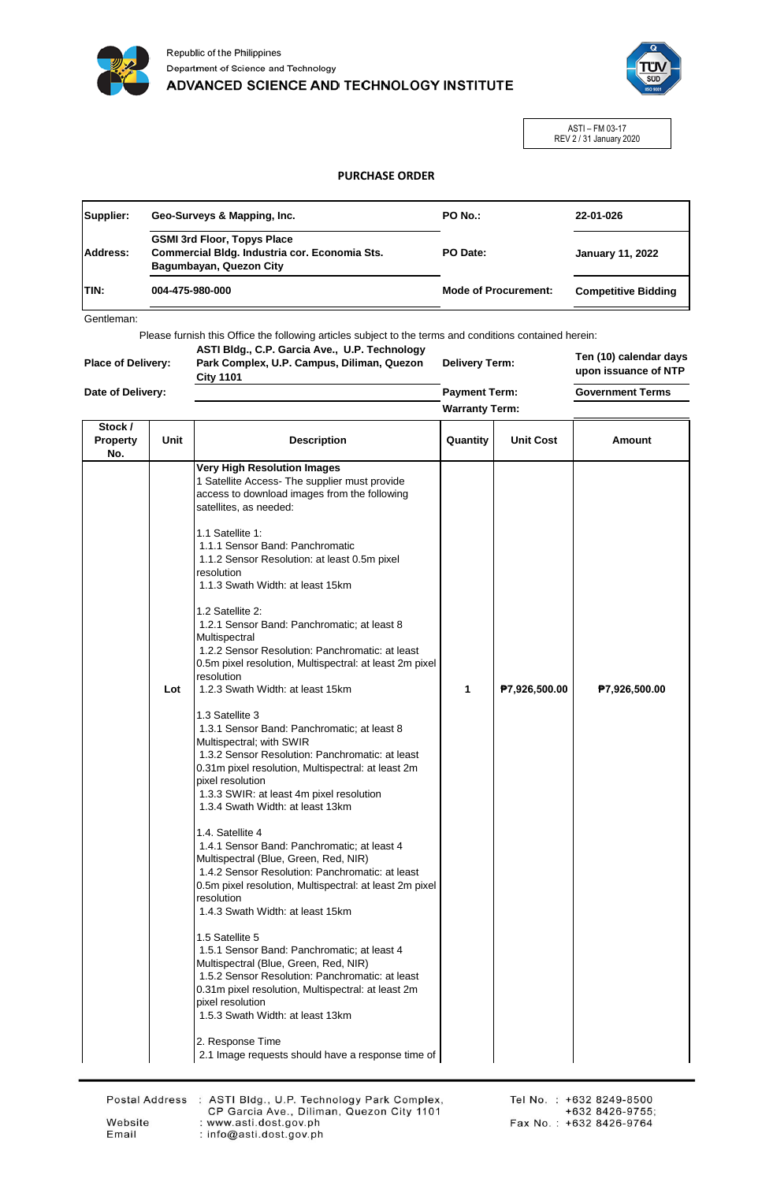



ASTI – FM 03-17 REV 2 / 31 January 2020

## **PURCHASE ORDER**

| Supplier:    | Geo-Surveys & Mapping, Inc.                                                                                    | PO No.:                     | 22-01-026                  |
|--------------|----------------------------------------------------------------------------------------------------------------|-----------------------------|----------------------------|
| Address:     | <b>GSMI 3rd Floor, Topys Place</b><br>Commercial Bldg. Industria cor. Economia Sts.<br>Bagumbayan, Quezon City | PO Date:                    | <b>January 11, 2022</b>    |
| <b>ITIN:</b> | 004-475-980-000                                                                                                | <b>Mode of Procurement:</b> | <b>Competitive Bidding</b> |

Gentleman:

Please furnish this Office the following articles subject to the terms and conditions contained herein:

| <b>Place of Delivery:</b> |  |
|---------------------------|--|
| Date of Delivery:         |  |

**City 1101**

**ASTI Bldg., C.P. Garcia Ave., U.P. Technology Park Complex, U.P. Campus, Diliman, Quezon Delivery Term:**

**Ten (10) calendar days upon issuance of NTP**

**Payment Term: Warranty Term:** **Government Terms**

| Stock /<br><b>Property</b><br>No. | Unit | <b>Description</b>                                                                                                                                                                                                                                                                                                                                                                                                                                                                                                                                                                                                                                                                                                                                                                                                                                                                                                                                                                                                                                                                                                                                                                                                                                                                                                                                                                                                                                                                                                     | Quantity | <b>Unit Cost</b> | Amount        |
|-----------------------------------|------|------------------------------------------------------------------------------------------------------------------------------------------------------------------------------------------------------------------------------------------------------------------------------------------------------------------------------------------------------------------------------------------------------------------------------------------------------------------------------------------------------------------------------------------------------------------------------------------------------------------------------------------------------------------------------------------------------------------------------------------------------------------------------------------------------------------------------------------------------------------------------------------------------------------------------------------------------------------------------------------------------------------------------------------------------------------------------------------------------------------------------------------------------------------------------------------------------------------------------------------------------------------------------------------------------------------------------------------------------------------------------------------------------------------------------------------------------------------------------------------------------------------------|----------|------------------|---------------|
|                                   | Lot  | <b>Very High Resolution Images</b><br>1 Satellite Access- The supplier must provide<br>access to download images from the following<br>satellites, as needed:<br>1.1 Satellite 1:<br>1.1.1 Sensor Band: Panchromatic<br>1.1.2 Sensor Resolution: at least 0.5m pixel<br>resolution<br>1.1.3 Swath Width: at least 15km<br>1.2 Satellite 2:<br>1.2.1 Sensor Band: Panchromatic; at least 8<br>Multispectral<br>1.2.2 Sensor Resolution: Panchromatic: at least<br>0.5m pixel resolution, Multispectral: at least 2m pixel<br>resolution<br>1.2.3 Swath Width: at least 15km<br>1.3 Satellite 3<br>1.3.1 Sensor Band: Panchromatic; at least 8<br>Multispectral; with SWIR<br>1.3.2 Sensor Resolution: Panchromatic: at least<br>0.31m pixel resolution, Multispectral: at least 2m<br>pixel resolution<br>1.3.3 SWIR: at least 4m pixel resolution<br>1.3.4 Swath Width: at least 13km<br>1.4. Satellite 4<br>1.4.1 Sensor Band: Panchromatic; at least 4<br>Multispectral (Blue, Green, Red, NIR)<br>1.4.2 Sensor Resolution: Panchromatic: at least<br>0.5m pixel resolution, Multispectral: at least 2m pixel<br>resolution<br>1.4.3 Swath Width: at least 15km<br>1.5 Satellite 5<br>1.5.1 Sensor Band: Panchromatic; at least 4<br>Multispectral (Blue, Green, Red, NIR)<br>1.5.2 Sensor Resolution: Panchromatic: at least<br>0.31m pixel resolution, Multispectral: at least 2m<br>pixel resolution<br>1.5.3 Swath Width: at least 13km<br>2. Response Time<br>2.1 Image requests should have a response time of | 1        | P7,926,500.00    | ₱7,926,500.00 |
|                                   |      |                                                                                                                                                                                                                                                                                                                                                                                                                                                                                                                                                                                                                                                                                                                                                                                                                                                                                                                                                                                                                                                                                                                                                                                                                                                                                                                                                                                                                                                                                                                        |          |                  |               |

Website

Email

Postal Address : ASTI Bldg., U.P. Technology Park Complex, CP Garcia Ave., Diliman, Quezon City 1101 : www.asti.dost.gov.ph : info@asti.dost.gov.ph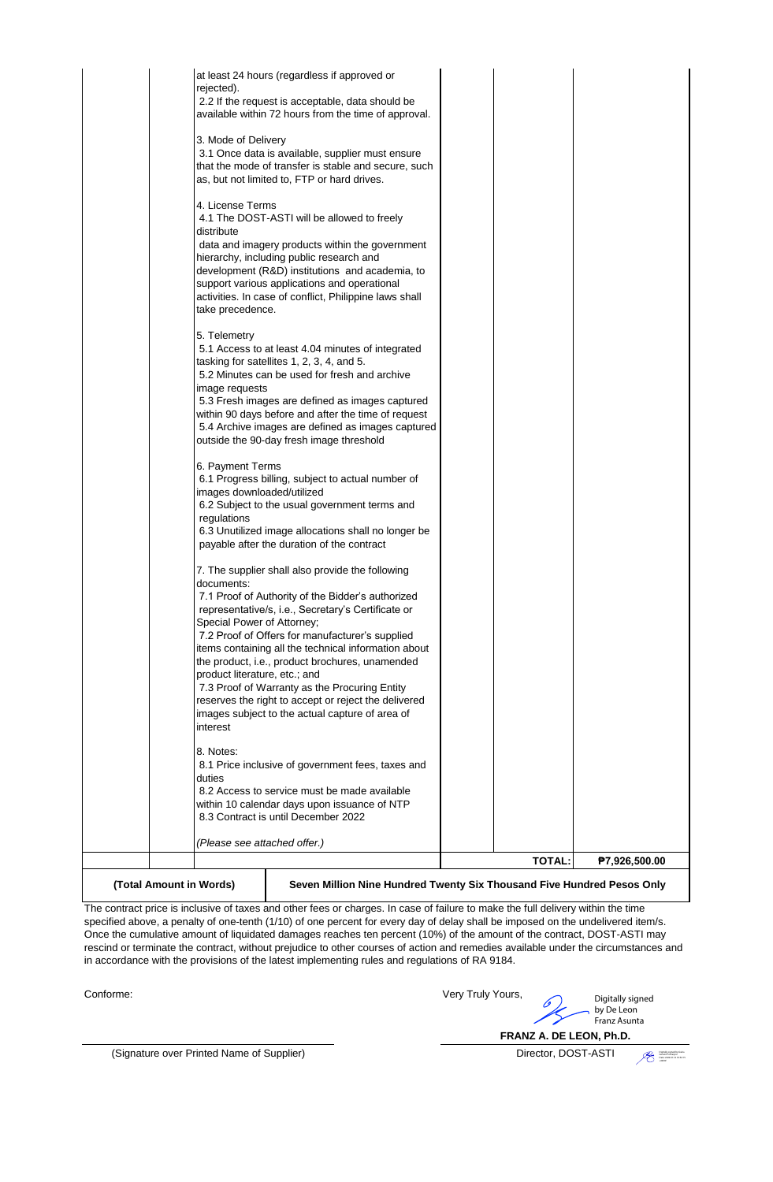| 7.2 Proof of Offers for manufacturer's supplied<br>items containing all the technical information about<br>the product, i.e., product brochures, unamended                                                                                                                                                                                                                                   |  |
|----------------------------------------------------------------------------------------------------------------------------------------------------------------------------------------------------------------------------------------------------------------------------------------------------------------------------------------------------------------------------------------------|--|
| Special Power of Attorney;                                                                                                                                                                                                                                                                                                                                                                   |  |
| 7. The supplier shall also provide the following<br>documents:<br>7.1 Proof of Authority of the Bidder's authorized<br>representative/s, i.e., Secretary's Certificate or                                                                                                                                                                                                                    |  |
| 6. Payment Terms<br>6.1 Progress billing, subject to actual number of<br>images downloaded/utilized<br>6.2 Subject to the usual government terms and<br>regulations<br>6.3 Unutilized image allocations shall no longer be<br>payable after the duration of the contract                                                                                                                     |  |
| 5. Telemetry<br>5.1 Access to at least 4.04 minutes of integrated<br>tasking for satellites 1, 2, 3, 4, and 5.<br>5.2 Minutes can be used for fresh and archive<br>image requests<br>5.3 Fresh images are defined as images captured<br>within 90 days before and after the time of request<br>5.4 Archive images are defined as images captured<br>outside the 90-day fresh image threshold |  |
| 4. License Terms<br>4.1 The DOST-ASTI will be allowed to freely<br>distribute<br>data and imagery products within the government<br>hierarchy, including public research and<br>development (R&D) institutions and academia, to<br>support various applications and operational<br>activities. In case of conflict, Philippine laws shall<br>take precedence.                                |  |
| 3. Mode of Delivery<br>3.1 Once data is available, supplier must ensure<br>that the mode of transfer is stable and secure, such<br>as, but not limited to, FTP or hard drives.                                                                                                                                                                                                               |  |
| rejected).<br>2.2 If the request is acceptable, data should be<br>available within 72 hours from the time of approval.                                                                                                                                                                                                                                                                       |  |

The contract price is inclusive of taxes and other fees or charges. In case of failure to make the full delivery within the time specified above, a penalty of one-tenth (1/10) of one percent for every day of delay shall be imposed on the undelivered item/s. Once the cumulative amount of liquidated damages reaches ten percent (10%) of the amount of the contract, DOST-ASTI may rescind or terminate the contract, without prejudice to other courses of action and remedies available under the circumstances and in accordance with the provisions of the latest implementing rules and regulations of RA 9184.

Conforme:

Very Truly Yours, Digitally signed by De Leon Franz Asunta

**FRANZ A. DE LEON, Ph.D.**

(Signature over Printed Name of Supplier) Director, DOST-ASTI

Digitally signed by Guba Gerwin Policarpio Date: 2022.01.12 10:52:15 +08'00'